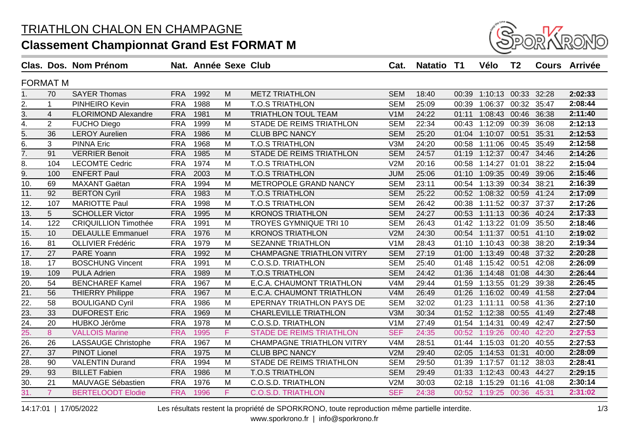

|                   |                | Clas. Dos. Nom Prénom       |            | Nat. Année Sexe Club |    |                                  | Cat.             | Natatio T1 |       | Vélo                | T <sub>2</sub> |       | <b>Cours Arrivée</b> |
|-------------------|----------------|-----------------------------|------------|----------------------|----|----------------------------------|------------------|------------|-------|---------------------|----------------|-------|----------------------|
| <b>FORMAT M</b>   |                |                             |            |                      |    |                                  |                  |            |       |                     |                |       |                      |
| 1.                | 70             | <b>SAYER Thomas</b>         | <b>FRA</b> | 1992                 | M  | <b>METZ TRIATHLON</b>            | <b>SEM</b>       | 18:40      | 00:39 | 1:10:13 00:33       |                | 32:28 | 2:02:33              |
| 2.                | $\mathbf 1$    | PINHEIRO Kevin              | <b>FRA</b> | 1988                 | M  | <b>T.O.S TRIATHLON</b>           | <b>SEM</b>       | 25:09      | 00:39 | 1:06:37 00:32       |                | 35:47 | 2:08:44              |
| $\overline{3}$ .  | $\overline{4}$ | <b>FLORIMOND Alexandre</b>  | <b>FRA</b> | 1981                 | M  | <b>TRIATHLON TOUL TEAM</b>       | V <sub>1</sub> M | 24:22      | 01:11 | 1:08:43             | 00:46          | 36:38 | 2:11:40              |
| $\overline{4}$ .  | $\overline{2}$ | <b>FUCHO Diego</b>          | <b>FRA</b> | 1999                 | M  | STADE DE REIMS TRIATHLON         | <b>SEM</b>       | 22:34      | 00:43 | 1:12:09             | 00:39          | 36:08 | 2:12:13              |
| 5.                | 36             | <b>LEROY Aurelien</b>       | <b>FRA</b> | 1986                 | M  | <b>CLUB BPC NANCY</b>            | <b>SEM</b>       | 25:20      | 01:04 | 1:10:07             | 00:51          | 35:31 | 2:12:53              |
| 6.                | 3              | <b>PINNA Eric</b>           | <b>FRA</b> | 1968                 | M  | <b>T.O.S TRIATHLON</b>           | V3M              | 24:20      | 00:58 | 1:11:06             | 00:45          | 35:49 | 2:12:58              |
| 7.                | 91             | <b>VERRIER Benoit</b>       | <b>FRA</b> | 1985                 | M  | STADE DE REIMS TRIATHLON         | <b>SEM</b>       | 24:57      | 01:19 | 1:12:37             | 00:47          | 34:46 | 2:14:26              |
| $\overline{8}$ .  | 104            | <b>LECOMTE Cedric</b>       | <b>FRA</b> | 1974                 | M  | <b>T.O.S TRIATHLON</b>           | V2M              | 20:16      | 00:58 | 1:14:27             | 01:01          | 38:22 | 2:15:04              |
| $\overline{9}$ .  | 100            | <b>ENFERT Paul</b>          | <b>FRA</b> | 2003                 | M  | <b>T.O.S TRIATHLON</b>           | <b>JUM</b>       | 25:06      | 01:10 | 1:09:35             | 00:49          | 39:06 | 2:15:46              |
| 10.               | 69             | MAXANT Gaëtan               | <b>FRA</b> | 1994                 | M  | METROPOLE GRAND NANCY            | <b>SEM</b>       | 23:11      | 00:54 | 1:13:39             | 00:34          | 38:21 | 2:16:39              |
| 11.               | 92             | <b>BERTON Cyril</b>         | <b>FRA</b> | 1983                 | M  | <b>T.O.S TRIATHLON</b>           | <b>SEM</b>       | 25:22      | 00:52 | 1:08:32 00:59       |                | 41:24 | 2:17:09              |
| 12.               | 107            | <b>MARIOTTE Paul</b>        | <b>FRA</b> | 1998                 | M  | <b>T.O.S TRIATHLON</b>           | <b>SEM</b>       | 26:42      | 00:38 | 1:11:52             | 00:37          | 37:37 | 2:17:26              |
| 13.               | 5              | <b>SCHOLLER Victor</b>      | <b>FRA</b> | 1995                 | M  | <b>KRONOS TRIATHLON</b>          | <b>SEM</b>       | 24:27      | 00:53 | 1:11:13             | 00:36          | 40:24 | 2:17:33              |
| $\overline{14}$ . | 122            | <b>CRIQUILLION Timothée</b> | <b>FRA</b> | 1991                 | M  | <b>TROYES GYMNIQUE TRI 10</b>    | <b>SEM</b>       | 26:43      | 01:42 | 1:13:22 01:09       |                | 35:50 | 2:18:46              |
| 15.               | 10             | <b>DELAULLE Emmanuel</b>    | <b>FRA</b> | 1976                 | M  | <b>KRONOS TRIATHLON</b>          | V2M              | 24:30      | 00:54 | 1:11:37 00:51       |                | 41:10 | 2:19:02              |
| 16.               | 81             | <b>OLLIVIER Frédéric</b>    | <b>FRA</b> | 1979                 | M  | <b>SEZANNE TRIATHLON</b>         | V1M              | 28:43      | 01:10 | 1:10:43 00:38       |                | 38:20 | 2:19:34              |
| 17.               | 27             | PARE Yoann                  | <b>FRA</b> | 1992                 | M  | <b>CHAMPAGNE TRIATHLON VITRY</b> | <b>SEM</b>       | 27:19      | 01:00 | 1:13:49             | 00:48          | 37:32 | 2:20:28              |
| 18.               | 17             | <b>BOSCHUNG Vincent</b>     | <b>FRA</b> | 1991                 | M  | <b>C.O.S.D. TRIATHLON</b>        | <b>SEM</b>       | 25:40      | 01:48 | 1:15:42             | 00:51          | 42:08 | 2:26:09              |
| 19.               | 109            | <b>PULA Adrien</b>          | <b>FRA</b> | 1989                 | M  | <b>T.O.S TRIATHLON</b>           | <b>SEM</b>       | 24:42      | 01:36 | 1:14:48             | 01:08          | 44:30 | 2:26:44              |
| 20.               | 54             | <b>BENCHAREF Kamel</b>      | <b>FRA</b> | 1967                 | M  | E.C.A. CHAUMONT TRIATHLON        | V4M              | 29:44      | 01:59 | 1:13:55             | 01:29          | 39:38 | 2:26:45              |
| 21.               | 56             | <b>THIERRY Philippe</b>     | <b>FRA</b> | 1967                 | M  | E.C.A. CHAUMONT TRIATHLON        | V4M              | 26:49      | 01:26 | 1:16:02 00:49       |                | 41:58 | 2:27:04              |
| 22.               | 58             | <b>BOULIGAND Cyril</b>      | <b>FRA</b> | 1986                 | M  | <b>EPERNAY TRIATHLON PAYS DE</b> | <b>SEM</b>       | 32:02      | 01:23 | 1:11:11             | 00:58          | 41:36 | 2:27:10              |
| 23.               | 33             | <b>DUFOREST Eric</b>        | <b>FRA</b> | 1969                 | M  | <b>CHARLEVILLE TRIATHLON</b>     | V3M              | 30:34      |       | 01:52 1:12:38       | 00:55          | 41:49 | 2:27:48              |
| 24.               | 20             | HUBKO Jérôme                | <b>FRA</b> | 1978                 | м  | <b>C.O.S.D. TRIATHLON</b>        | V <sub>1</sub> M | 27:49      |       | 01:54 1:14:31       | 00:49          | 42:47 | 2:27:50              |
| 25.               | 8              | <b>VALLOIS Marine</b>       | <b>FRA</b> | 1995                 | F. | <b>STADE DE REIMS TRIATHLON</b>  | <b>SEF</b>       | 24:35      | 00:52 | 1:19:26             | 00:40          | 42:20 | 2:27:53              |
| $\overline{26}$   | 26             | <b>LASSAUGE Christophe</b>  | <b>FRA</b> | 1967                 | M  | <b>CHAMPAGNE TRIATHLON VITRY</b> | V4M              | 28:51      |       | 01:44 1:15:03       | 01:20          | 40:55 | 2:27:53              |
| 27.               | 37             | <b>PINOT Lionel</b>         | <b>FRA</b> | 1975                 | M  | <b>CLUB BPC NANCY</b>            | V2M              | 29:40      | 02:05 | 1:14:53 01:31       |                | 40:00 | 2:28:09              |
| $\overline{28}$   | 90             | <b>VALENTIN Durand</b>      | <b>FRA</b> | 1994                 | M  | STADE DE REIMS TRIATHLON         | <b>SEM</b>       | 29:50      | 01:39 | 1:17:57             | 01:12          | 38:03 | 2:28:41              |
| 29.               | 93             | <b>BILLET Fabien</b>        | <b>FRA</b> | 1986                 | M  | <b>T.O.S TRIATHLON</b>           | <b>SEM</b>       | 29:49      | 01:33 | 1:12:43             | 00:43          | 44:27 | 2:29:15              |
| $\overline{30}$   | 21             | MAUVAGE Sébastien           | <b>FRA</b> | 1976                 | M  | <b>C.O.S.D. TRIATHLON</b>        | V2M              | 30:03      | 02:18 | 1:15:29             | 01:16          | 41:08 | 2:30:14              |
| $\overline{31}$ . | 7 <sup>1</sup> | <b>BERTELOODT Elodie</b>    | <b>FRA</b> | 1996                 | F  | <b>C.O.S.D. TRIATHLON</b>        | <b>SEF</b>       | 24:38      |       | 00:52 1:19:25 00:36 |                | 45:31 | 2:31:02              |

14:17:01 | 17/05/2022 Les résultats restent la propriété de SPORKRONO, toute reproduction même partielle interdite.

www.sporkrono.fr | info@sporkrono.fr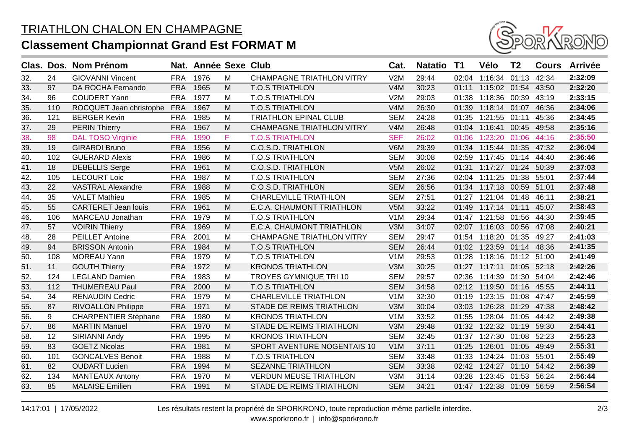

|     |     | Clas. Dos. Nom Prénom       |            | Nat. Année Sexe Club |    |                                  | Cat.             | <b>Natatio</b> | T1    | Vélo                      | T <sub>2</sub> | <b>Cours</b> | <b>Arrivée</b> |
|-----|-----|-----------------------------|------------|----------------------|----|----------------------------------|------------------|----------------|-------|---------------------------|----------------|--------------|----------------|
| 32. | 24  | <b>GIOVANNI Vincent</b>     | <b>FRA</b> | 1976                 | M  | <b>CHAMPAGNE TRIATHLON VITRY</b> | V2M              | 29:44          |       | 02:04 1:16:34 01:13       |                | 42:34        | 2:32:09        |
| 33. | 97  | DA ROCHA Fernando           | <b>FRA</b> | 1965                 | M  | <b>T.O.S TRIATHLON</b>           | V4M              | 30:23          | 01:11 | 1:15:02 01:54             |                | 43:50        | 2:32:20        |
| 34. | 96  | <b>COUDERT Yann</b>         | <b>FRA</b> | 1977                 | M  | <b>T.O.S TRIATHLON</b>           | V2M              | 29:03          | 01:38 | 1:18:36 00:39             |                | 43:19        | 2:33:15        |
| 35. | 110 | ROCQUET Jean christophe     | <b>FRA</b> | 1967                 | M  | <b>T.O.S TRIATHLON</b>           | V4M              | 26:30          | 01:39 | 1:18:14 01:07             |                | 46:36        | 2:34:06        |
| 36. | 121 | <b>BERGER Kevin</b>         | <b>FRA</b> | 1985                 | M  | <b>TRIATHLON EPINAL CLUB</b>     | <b>SEM</b>       | 24:28          | 01:35 | 1:21:55 01:11             |                | 45:36        | 2:34:45        |
| 37. | 29  | <b>PERIN Thierry</b>        | <b>FRA</b> | 1967                 | M  | <b>CHAMPAGNE TRIATHLON VITRY</b> | V4M              | 26:48          | 01:04 | 1:16:41                   | 00:45          | 49:58        | 2:35:16        |
| 38. | 98  | <b>DAL TOSO Virginie</b>    | <b>FRA</b> | 1990                 | F. | <b>T.O.S TRIATHLON</b>           | <b>SEF</b>       | 26:02          | 01:06 | 1:23:20 01:06             |                | 44:16        | 2:35:50        |
| 39. | 19  | <b>GIRARDI Bruno</b>        | <b>FRA</b> | 1956                 | M  | <b>C.O.S.D. TRIATHLON</b>        | V6M              | 29:39          | 01:34 | 1:15:44 01:35             |                | 47:32        | 2:36:04        |
| 40. | 102 | <b>GUERARD Alexis</b>       | <b>FRA</b> | 1986                 | M  | <b>T.O.S TRIATHLON</b>           | <b>SEM</b>       | 30:08          | 02:59 | 1:17:45 01:14             |                | 44:40        | 2:36:46        |
| 41. | 18  | <b>DEBELLIS Serge</b>       | <b>FRA</b> | 1961                 | M  | <b>C.O.S.D. TRIATHLON</b>        | V5M              | 26:02          | 01:31 | 1:17:27                   | 01:24          | 50:39        | 2:37:03        |
| 42. | 105 | <b>LECOURT Loic</b>         | <b>FRA</b> | 1987                 | M  | <b>T.O.S TRIATHLON</b>           | <b>SEM</b>       | 27:36          | 02:04 | 1:11:25                   | 01:38          | 55:01        | 2:37:44        |
| 43. | 22  | <b>VASTRAL Alexandre</b>    | <b>FRA</b> | 1988                 | M  | <b>C.O.S.D. TRIATHLON</b>        | <b>SEM</b>       | 26:56          | 01:34 | 1:17:18 00:59             |                | 51:01        | 2:37:48        |
| 44. | 35  | <b>VALET Mathieu</b>        | <b>FRA</b> | 1985                 | M  | <b>CHARLEVILLE TRIATHLON</b>     | <b>SEM</b>       | 27:51          | 01:27 | 1:21:04 01:48             |                | 46:11        | 2:38:21        |
| 45. | 55  | <b>CARTERET Jean louis</b>  | <b>FRA</b> | 1961                 | M  | E.C.A. CHAUMONT TRIATHLON        | V5M              | 33:22          | 01:49 | 1:17:14 01:11             |                | 45:07        | 2:38:43        |
| 46. | 106 | MARCEAU Jonathan            | <b>FRA</b> | 1979                 | M  | <b>T.O.S TRIATHLON</b>           | V1M              | 29:34          | 01:47 | 1:21:58 01:56             |                | 44:30        | 2:39:45        |
| 47. | 57  | <b>VOIRIN Thierry</b>       | <b>FRA</b> | 1969                 | M  | E.C.A. CHAUMONT TRIATHLON        | V3M              | 34:07          | 02:07 | 1:16:03 00:56             |                | 47:08        | 2:40:21        |
| 48. | 28  | <b>PEILLET Antoine</b>      | <b>FRA</b> | 2001                 | M  | <b>CHAMPAGNE TRIATHLON VITRY</b> | <b>SEM</b>       | 29:47          |       | 01:54 1:18:20 01:35       |                | 49:27        | 2:41:03        |
| 49. | 94  | <b>BRISSON Antonin</b>      | <b>FRA</b> | 1984                 | M  | <b>T.O.S TRIATHLON</b>           | <b>SEM</b>       | 26:44          |       | 01:02 1:23:59 01:14 48:36 |                |              | 2:41:35        |
| 50. | 108 | <b>MOREAU Yann</b>          | <b>FRA</b> | 1979                 | M  | <b>T.O.S TRIATHLON</b>           | V <sub>1</sub> M | 29:53          | 01:28 | 1:18:16 01:12 51:00       |                |              | 2:41:49        |
| 51. | 11  | <b>GOUTH Thierry</b>        | <b>FRA</b> | 1972                 | M  | <b>KRONOS TRIATHLON</b>          | V3M              | 30:25          | 01:27 | 1:17:11                   | 01:05 52:18    |              | 2:42:26        |
| 52. | 124 | <b>LEGLAND Damien</b>       | <b>FRA</b> | 1983                 | M  | TROYES GYMNIQUE TRI 10           | <b>SEM</b>       | 29:57          | 02:36 | 1:14:39                   | 01:30          | 54:04        | 2:42:46        |
| 53. | 112 | <b>THUMEREAU Paul</b>       | <b>FRA</b> | 2000                 | M  | <b>T.O.S TRIATHLON</b>           | <b>SEM</b>       | 34:58          |       | 02:12 1:19:50 01:16 45:55 |                |              | 2:44:11        |
| 54. | 34  | <b>RENAUDIN Cedric</b>      | <b>FRA</b> | 1979                 | M  | <b>CHARLEVILLE TRIATHLON</b>     | V1M              | 32:30          | 01:19 | 1:23:15 01:08             |                | 47:47        | 2:45:59        |
| 55. | 87  | <b>RIVOALLON Philippe</b>   | <b>FRA</b> | 1971                 | M  | STADE DE REIMS TRIATHLON         | V3M              | 30:04          | 03:03 | 1:26:28 01:29 47:38       |                |              | 2:48:42        |
| 56. | 9   | <b>CHARPENTIER Stéphane</b> | <b>FRA</b> | 1980                 | M  | <b>KRONOS TRIATHLON</b>          | V1M              | 33:52          | 01:55 | 1:28:04                   | 01:05          | 44:42        | 2:49:38        |
| 57. | 86  | <b>MARTIN Manuel</b>        | <b>FRA</b> | 1970                 | M  | STADE DE REIMS TRIATHLON         | V3M              | 29:48          |       | 01:32 1:22:32 01:19       |                | 59:30        | 2:54:41        |
| 58. | 12  | SIRIANNI Andy               | <b>FRA</b> | 1995                 | M  | <b>KRONOS TRIATHLON</b>          | <b>SEM</b>       | 32:45          | 01:37 | 1:27:30                   | 01:08          | 52:23        | 2:55:23        |
| 59. | 83  | <b>GOETZ Nicolas</b>        | <b>FRA</b> | 1981                 | M  | SPORT AVENTURE NOGENTAIS 10      | V <sub>1</sub> M | 37:11          | 01:25 | 1:26:01                   | 01:05          | 49:49        | 2:55:31        |
| 60. | 101 | <b>GONCALVES Benoit</b>     | <b>FRA</b> | 1988                 | M  | <b>T.O.S TRIATHLON</b>           | <b>SEM</b>       | 33:48          | 01:33 | 1:24:24                   | 01:03          | 55:01        | 2:55:49        |
| 61. | 82  | <b>OUDART Lucien</b>        | <b>FRA</b> | 1994                 | M  | <b>SEZANNE TRIATHLON</b>         | <b>SEM</b>       | 33:38          | 02:42 | 1:24:27                   | 01:10          | 54:42        | 2:56:39        |
| 62. | 134 | <b>MANTEAUX Antony</b>      | <b>FRA</b> | 1970                 | M  | <b>VERDUN MEUSE TRIATHLON</b>    | V3M              | 31:14          | 03:28 | 1:23:45                   | 01:53          | 56:24        | 2:56:44        |
| 63. | 85  | <b>MALAISE Emilien</b>      | <b>FRA</b> | 1991                 | M  | STADE DE REIMS TRIATHLON         | <b>SEM</b>       | 34:21          |       | 01:47 1:22:38 01:09 56:59 |                |              | 2:56:54        |
|     |     |                             |            |                      |    |                                  |                  |                |       |                           |                |              |                |

14:17:01 | 17/05/2022 Les résultats restent la propriété de SPORKRONO, toute reproduction même partielle interdite.

www.sporkrono.fr | info@sporkrono.fr